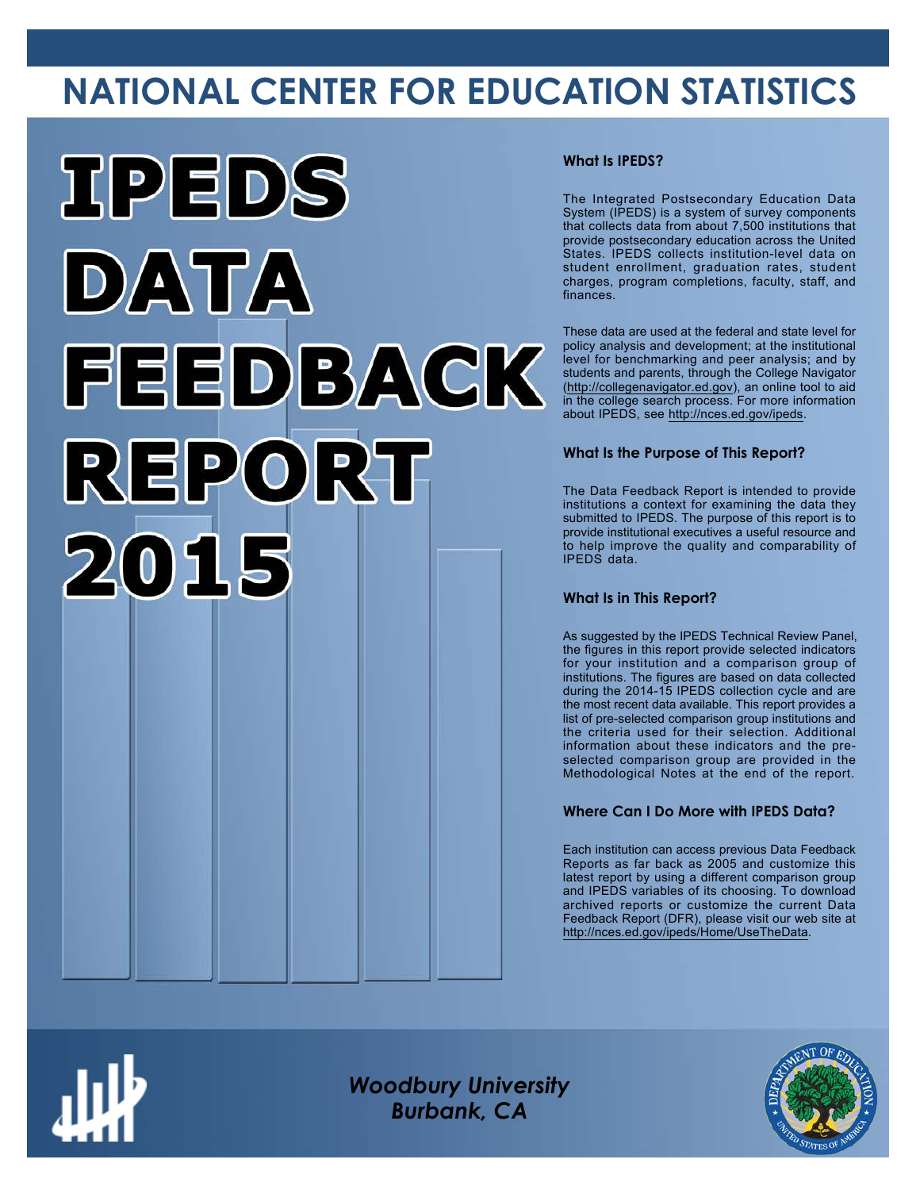# **NATIONAL CENTER FOR EDUCATION STATISTICS**



### **What Is IPEDS?**

The Integrated Postsecondary Education Data System (IPEDS) is a system of survey components that collects data from about 7,500 institutions that provide postsecondary education across the United States. IPEDS collects institution-level data on student enrollment, graduation rates, student charges, program completions, faculty, staff, and finances.

These data are used at the federal and state level for policy analysis and development; at the institutional level for benchmarking and peer analysis; and by students and parents, through the College Navigator ([http://collegenavigator.ed.gov\)](http://collegenavigator.ed.gov), an online tool to aid in the college search process. For more information about IPEDS, see [http://nces.ed.gov/ipeds.](http://nces.ed.gov/ipeds)

## **What Is the Purpose of This Report?**

The Data Feedback Report is intended to provide institutions a context for examining the data they submitted to IPEDS. The purpose of this report is to provide institutional executives a useful resource and to help improve the quality and comparability of IPEDS data.

### **What Is in This Report?**

As suggested by the IPEDS Technical Review Panel, the figures in this report provide selected indicators for your institution and a comparison group of institutions. The figures are based on data collected during the 2014-15 IPEDS collection cycle and are the most recent data available. This report provides a list of pre-selected comparison group institutions and the criteria used for their selection. Additional information about these indicators and the preselected comparison group are provided in the Methodological Notes at the end of the report.

## **Where Can I Do More with IPEDS Data?**

Each institution can access previous Data Feedback Reports as far back as 2005 and customize this latest report by using a different comparison group and IPEDS variables of its choosing. To download archived reports or customize the current Data Feedback Report (DFR), please visit our web site at [http://nces.ed.gov/ipeds/Home/UseTheData.](http://nces.ed.gov/ipeds/Home/UseTheData)



*Woodbury University Burbank, CA*

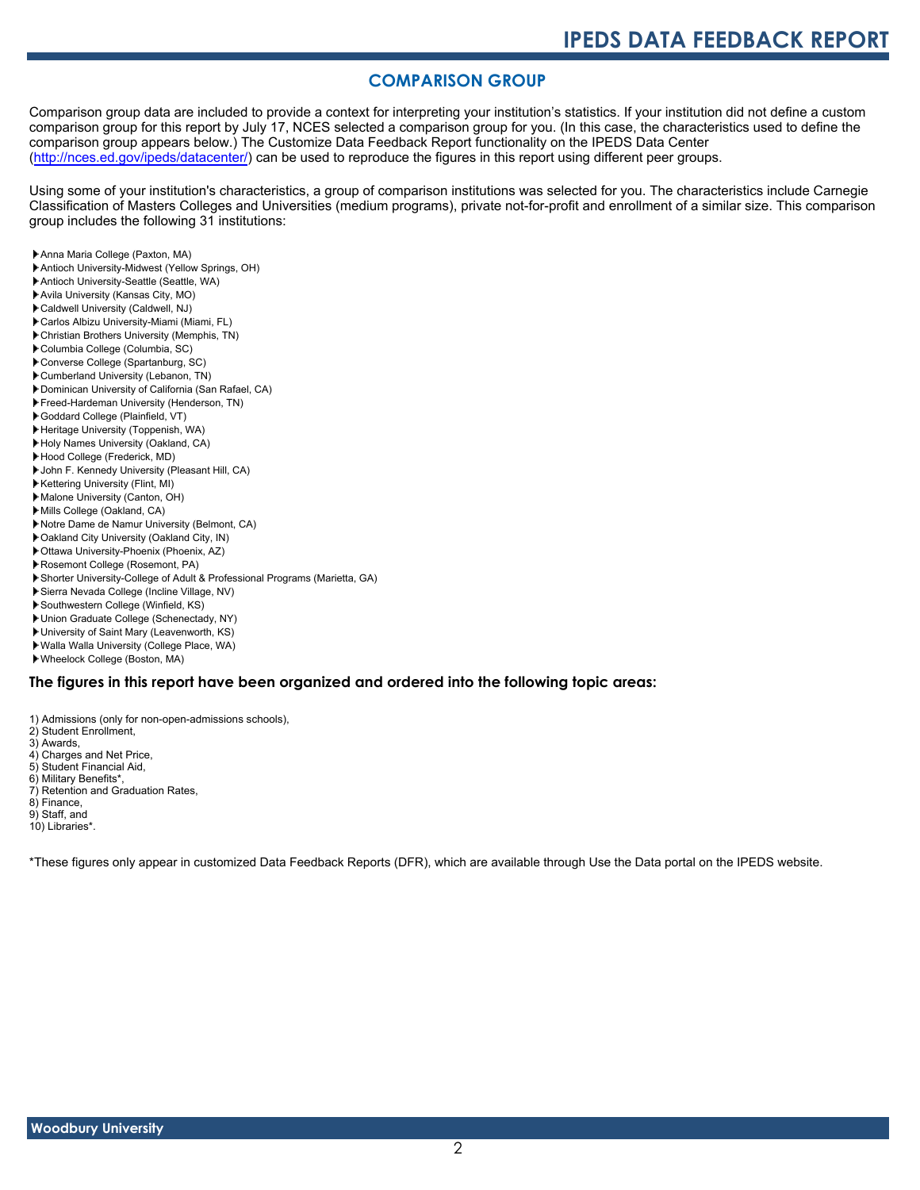## **COMPARISON GROUP**

Comparison group data are included to provide a context for interpreting your institution's statistics. If your institution did not define a custom comparison group for this report by July 17, NCES selected a comparison group for you. (In this case, the characteristics used to define the comparison group appears below.) The Customize Data Feedback Report functionality on the IPEDS Data Center [\(http://nces.ed.gov/ipeds/datacenter/\)](http://nces.ed.gov/ipeds/datacenter/) can be used to reproduce the figures in this report using different peer groups.

Using some of your institution's characteristics, a group of comparison institutions was selected for you. The characteristics include Carnegie Classification of Masters Colleges and Universities (medium programs), private not-for-profit and enrollment of a similar size. This comparison group includes the following 31 institutions:

- Anna Maria College (Paxton, MA)
- Antioch University-Midwest (Yellow Springs, OH)
- Antioch University-Seattle (Seattle, WA)
- Avila University (Kansas City, MO)
- Caldwell University (Caldwell, NJ)
- Carlos Albizu University-Miami (Miami, FL)
- Christian Brothers University (Memphis, TN)
- Columbia College (Columbia, SC)
- Converse College (Spartanburg, SC)
- Cumberland University (Lebanon, TN)
- Dominican University of California (San Rafael, CA)
- Freed-Hardeman University (Henderson, TN)
- Goddard College (Plainfield, VT)
- Heritage University (Toppenish, WA)
- Holy Names University (Oakland, CA)
- Hood College (Frederick, MD)
- John F. Kennedy University (Pleasant Hill, CA)
- Kettering University (Flint, MI)
- Malone University (Canton, OH)
- Mills College (Oakland, CA)
- Notre Dame de Namur University (Belmont, CA)
- Oakland City University (Oakland City, IN)
- Ottawa University-Phoenix (Phoenix, AZ)
- Rosemont College (Rosemont, PA)
- Shorter University-College of Adult & Professional Programs (Marietta, GA)
- Sierra Nevada College (Incline Village, NV)
- Southwestern College (Winfield, KS)
- Union Graduate College (Schenectady, NY)
- University of Saint Mary (Leavenworth, KS)
- Walla Walla University (College Place, WA)
- Wheelock College (Boston, MA)

#### **The figures in this report have been organized and ordered into the following topic areas:**

- 1) Admissions (only for non-open-admissions schools), 2) Student Enrollment,
- 
- 3) Awards,
- 4) Charges and Net Price,
- 5) Student Financial Aid,
- 6) Military Benefits\*, 7) Retention and Graduation Rates,
- 
- 8) Finance, 9) Staff, and
- 
- 10) Libraries\*.

\*These figures only appear in customized Data Feedback Reports (DFR), which are available through Use the Data portal on the IPEDS website.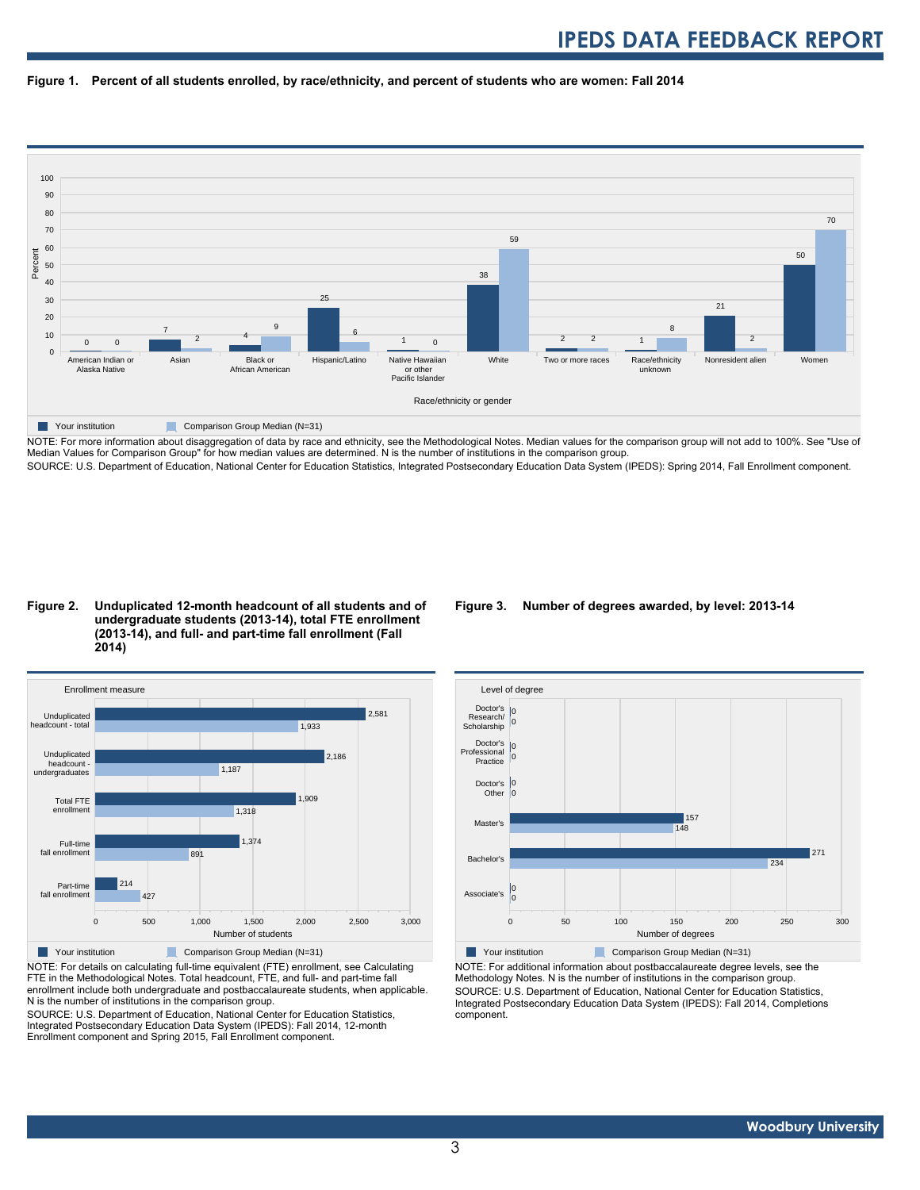



NOTE: For more information about disaggregation of data by race and ethnicity, see the Methodological Notes. Median values for the comparison group will not add to 100%. See "Use of Median Values for Comparison Group" for how median values are determined. N is the number of institutions in the comparison group. SOURCE: U.S. Department of Education, National Center for Education Statistics, Integrated Postsecondary Education Data System (IPEDS): Spring 2014, Fall Enrollment component.

#### **Figure 2. Unduplicated 12-month headcount of all students and of undergraduate students (2013-14), total FTE enrollment (2013-14), and full- and part-time fall enrollment (Fall 2014)**



NOTE: For details on calculating full-time equivalent (FTE) enrollment, see Calculating FTE in the Methodological Notes. Total headcount, FTE, and full- and part-time fall enrollment include both undergraduate and postbaccalaureate students, when applicable. N is the number of institutions in the comparison group.

SOURCE: U.S. Department of Education, National Center for Education Statistics, Integrated Postsecondary Education Data System (IPEDS): Fall 2014, 12-month Enrollment component and Spring 2015, Fall Enrollment component.

#### **Figure 3. Number of degrees awarded, by level: 2013-14**



NOTE: For additional information about postbaccalaureate degree levels, see the Methodology Notes. N is the number of institutions in the comparison group. SOURCE: U.S. Department of Education, National Center for Education Statistics, Integrated Postsecondary Education Data System (IPEDS): Fall 2014, Completions component.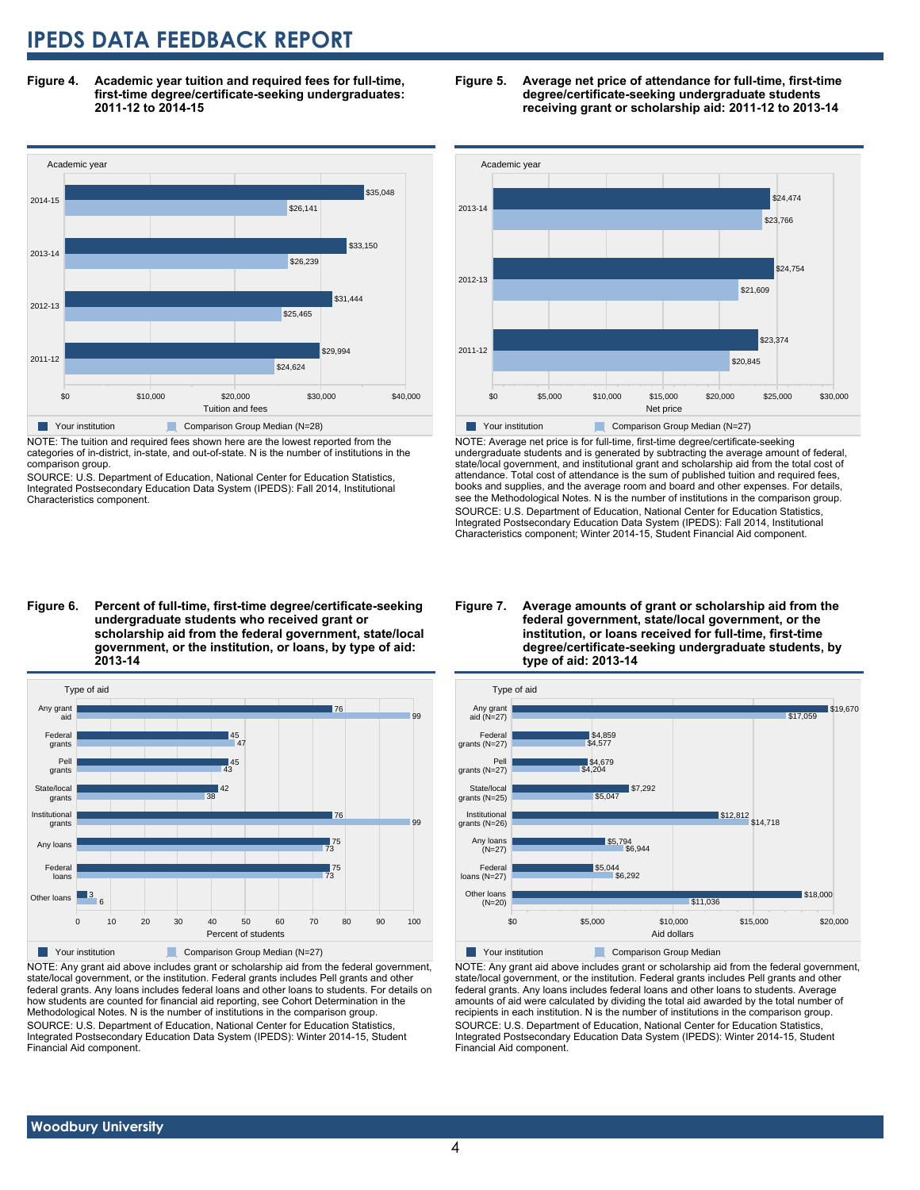**Figure 4. Academic year tuition and required fees for full-time, first-time degree/certificate-seeking undergraduates: 2011-12 to 2014-15**



NOTE: The tuition and required fees shown here are the lowest reported from the categories of in-district, in-state, and out-of-state. N is the number of institutions in the comparison group.

SOURCE: U.S. Department of Education, National Center for Education Statistics, Integrated Postsecondary Education Data System (IPEDS): Fall 2014, Institutional Characteristics component.





NOTE: Average net price is for full-time, first-time degree/certificate-seeking undergraduate students and is generated by subtracting the average amount of federal, state/local government, and institutional grant and scholarship aid from the total cost of attendance. Total cost of attendance is the sum of published tuition and required fees, books and supplies, and the average room and board and other expenses. For details, see the Methodological Notes. N is the number of institutions in the comparison group. SOURCE: U.S. Department of Education, National Center for Education Statistics, Integrated Postsecondary Education Data System (IPEDS): Fall 2014, Institutional Characteristics component; Winter 2014-15, Student Financial Aid component.

**Figure 6. Percent of full-time, first-time degree/certificate-seeking undergraduate students who received grant or scholarship aid from the federal government, state/local government, or the institution, or loans, by type of aid: 2013-14**



NOTE: Any grant aid above includes grant or scholarship aid from the federal government, state/local government, or the institution. Federal grants includes Pell grants and other federal grants. Any loans includes federal loans and other loans to students. For details on how students are counted for financial aid reporting, see Cohort Determination in the Methodological Notes. N is the number of institutions in the comparison group. SOURCE: U.S. Department of Education, National Center for Education Statistics, Integrated Postsecondary Education Data System (IPEDS): Winter 2014-15, Student

#### **Figure 7. Average amounts of grant or scholarship aid from the federal government, state/local government, or the institution, or loans received for full-time, first-time degree/certificate-seeking undergraduate students, by type of aid: 2013-14**



**Your institution Comparison Group Median** 

NOTE: Any grant aid above includes grant or scholarship aid from the federal government, state/local government, or the institution. Federal grants includes Pell grants and other federal grants. Any loans includes federal loans and other loans to students. Average amounts of aid were calculated by dividing the total aid awarded by the total number of recipients in each institution. N is the number of institutions in the comparison group. SOURCE: U.S. Department of Education, National Center for Education Statistics, Integrated Postsecondary Education Data System (IPEDS): Winter 2014-15, Student Financial Aid component.

 **Woodbury University**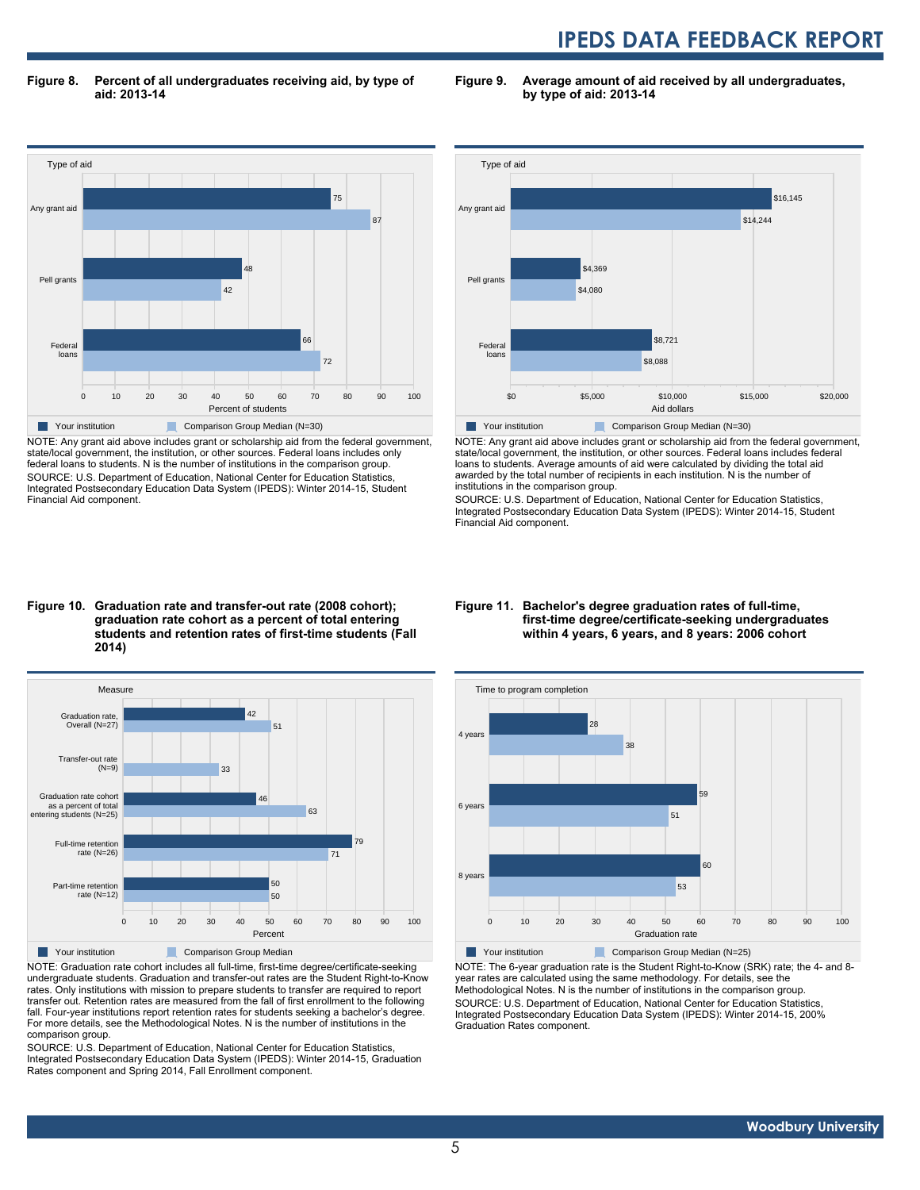**Figure 8. Percent of all undergraduates receiving aid, by type of aid: 2013-14**

**Figure 9. Average amount of aid received by all undergraduates, by type of aid: 2013-14**



NOTE: Any grant aid above includes grant or scholarship aid from the federal government, state/local government, the institution, or other sources. Federal loans includes only federal loans to students. N is the number of institutions in the comparison group. SOURCE: U.S. Department of Education, National Center for Education Statistics, Integrated Postsecondary Education Data System (IPEDS): Winter 2014-15, Student Financial Aid component.



NOTE: Any grant aid above includes grant or scholarship aid from the federal government, state/local government, the institution, or other sources. Federal loans includes federal loans to students. Average amounts of aid were calculated by dividing the total aid awarded by the total number of recipients in each institution. N is the number of institutions in the comparison group.

SOURCE: U.S. Department of Education, National Center for Education Statistics, Integrated Postsecondary Education Data System (IPEDS): Winter 2014-15, Student Financial Aid component.

#### **Figure 10. Graduation rate and transfer-out rate (2008 cohort); graduation rate cohort as a percent of total entering students and retention rates of first-time students (Fall 2014)**



NOTE: Graduation rate cohort includes all full-time, first-time degree/certificate-seeking undergraduate students. Graduation and transfer-out rates are the Student Right-to-Know rates. Only institutions with mission to prepare students to transfer are required to report transfer out. Retention rates are measured from the fall of first enrollment to the following fall. Four-year institutions report retention rates for students seeking a bachelor's degree. For more details, see the Methodological Notes. N is the number of institutions in the comparison group.

SOURCE: U.S. Department of Education, National Center for Education Statistics, Integrated Postsecondary Education Data System (IPEDS): Winter 2014-15, Graduation Rates component and Spring 2014, Fall Enrollment component.

#### **Figure 11. Bachelor's degree graduation rates of full-time, first-time degree/certificate-seeking undergraduates within 4 years, 6 years, and 8 years: 2006 cohort**



NOTE: The 6-year graduation rate is the Student Right-to-Know (SRK) rate; the 4- and 8 year rates are calculated using the same methodology. For details, see the Methodological Notes. N is the number of institutions in the comparison group. SOURCE: U.S. Department of Education, National Center for Education Statistics, Integrated Postsecondary Education Data System (IPEDS): Winter 2014-15, 200% Graduation Rates component.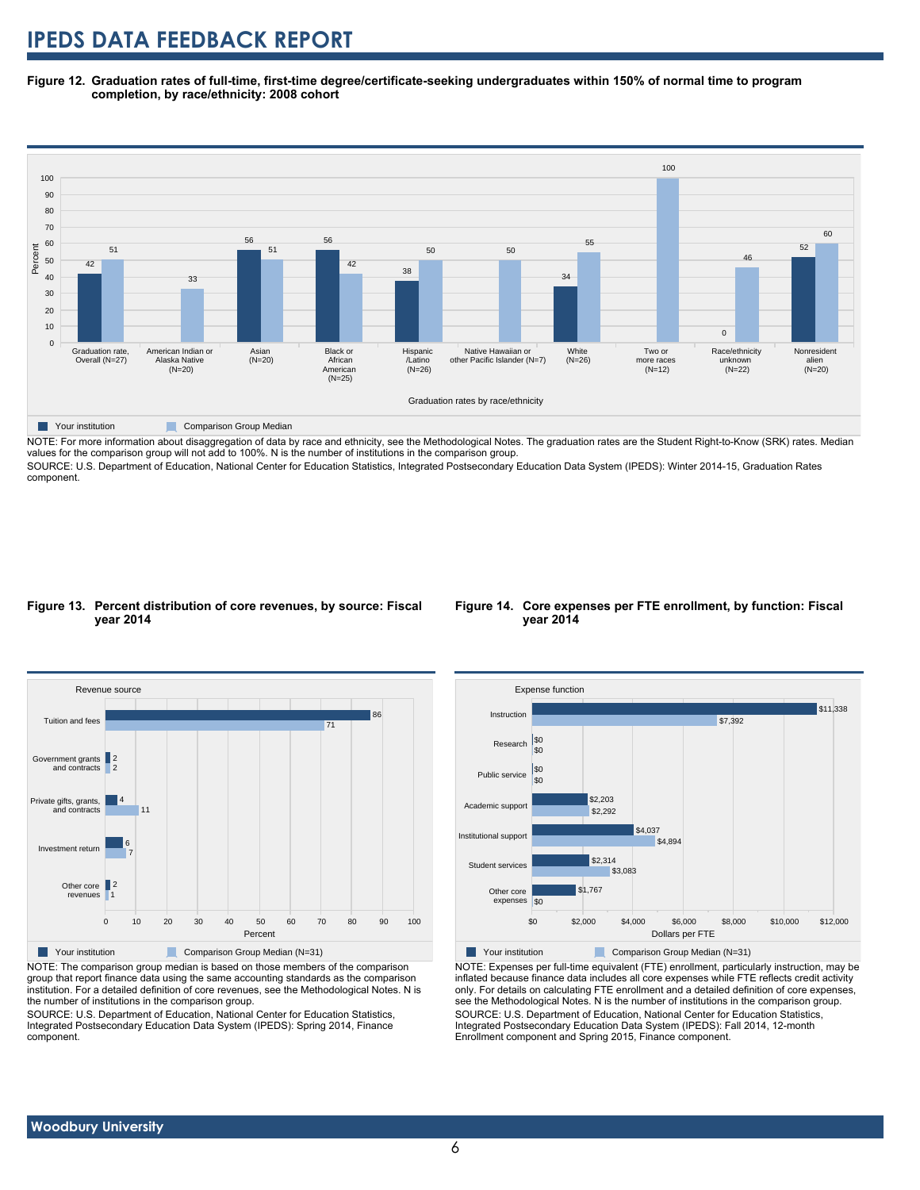**Figure 12. Graduation rates of full-time, first-time degree/certificate-seeking undergraduates within 150% of normal time to program completion, by race/ethnicity: 2008 cohort**



NOTE: For more information about disaggregation of data by race and ethnicity, see the Methodological Notes. The graduation rates are the Student Right-to-Know (SRK) rates. Median values for the comparison group will not add to 100%. N is the number of institutions in the comparison group.

SOURCE: U.S. Department of Education, National Center for Education Statistics, Integrated Postsecondary Education Data System (IPEDS): Winter 2014-15, Graduation Rates component.

#### **Figure 13. Percent distribution of core revenues, by source: Fiscal year 2014**



**Figure 14. Core expenses per FTE enrollment, by function: Fiscal**

**year 2014**

Other core expenses \$0 \$1,767

\$2,292 \$2,203

\$3,083 \$2,314

Student services

Institutional support Academic support

Public service

i∝∩ \$0



NOTE: The comparison group median is based on those members of the comparison group that report finance data using the same accounting standards as the comparison institution. For a detailed definition of core revenues, see the Methodological Notes. N is the number of institutions in the comparison group.

SOURCE: U.S. Department of Education, National Center for Education Statistics, Integrated Postsecondary Education Data System (IPEDS): Spring 2014, Finance component.



\$4,894 \$4,037

\$0 \$2,000 \$4,000 \$6,000 \$8,000 \$10,000 \$12,000 Dollars per FTE

NOTE: Expenses per full-time equivalent (FTE) enrollment, particularly instruction, may be inflated because finance data includes all core expenses while FTE reflects credit activity only. For details on calculating FTE enrollment and a detailed definition of core expenses, see the Methodological Notes. N is the number of institutions in the comparison group. SOURCE: U.S. Department of Education, National Center for Education Statistics, Integrated Postsecondary Education Data System (IPEDS): Fall 2014, 12-month Enrollment component and Spring 2015, Finance component.

# Revenue source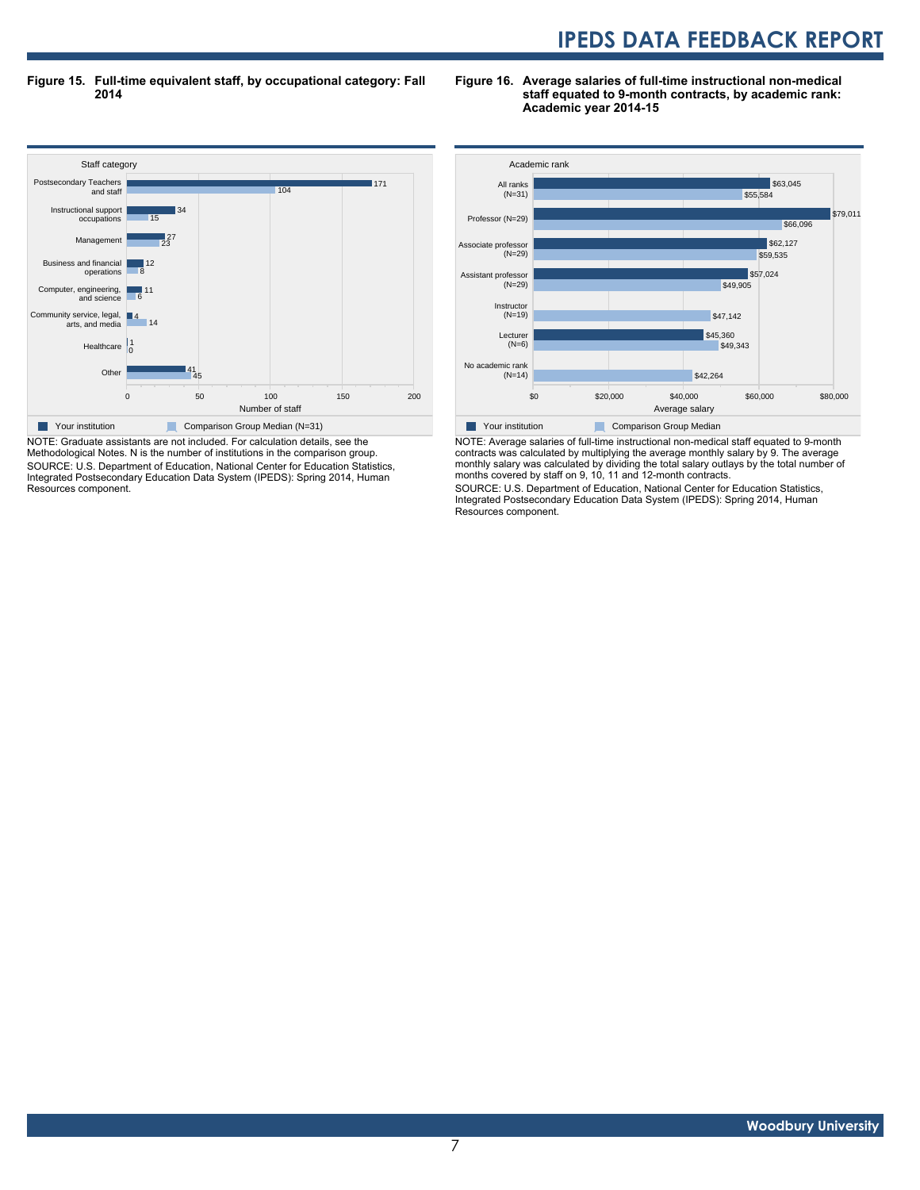**Figure 15. Full-time equivalent staff, by occupational category: Fall 2014**

**Figure 16. Average salaries of full-time instructional non-medical staff equated to 9-month contracts, by academic rank: Academic year 2014-15**



NOTE: Graduate assistants are not included. For calculation details, see the Methodological Notes. N is the number of institutions in the comparison group. SOURCE: U.S. Department of Education, National Center for Education Statistics, Integrated Postsecondary Education Data System (IPEDS): Spring 2014, Human Resources component.



NOTE: Average salaries of full-time instructional non-medical staff equated to 9-month contracts was calculated by multiplying the average monthly salary by 9. The average monthly salary was calculated by dividing the total salary outlays by the total number of months covered by staff on 9, 10, 11 and 12-month contracts.

SOURCE: U.S. Department of Education, National Center for Education Statistics, Integrated Postsecondary Education Data System (IPEDS): Spring 2014, Human Resources component.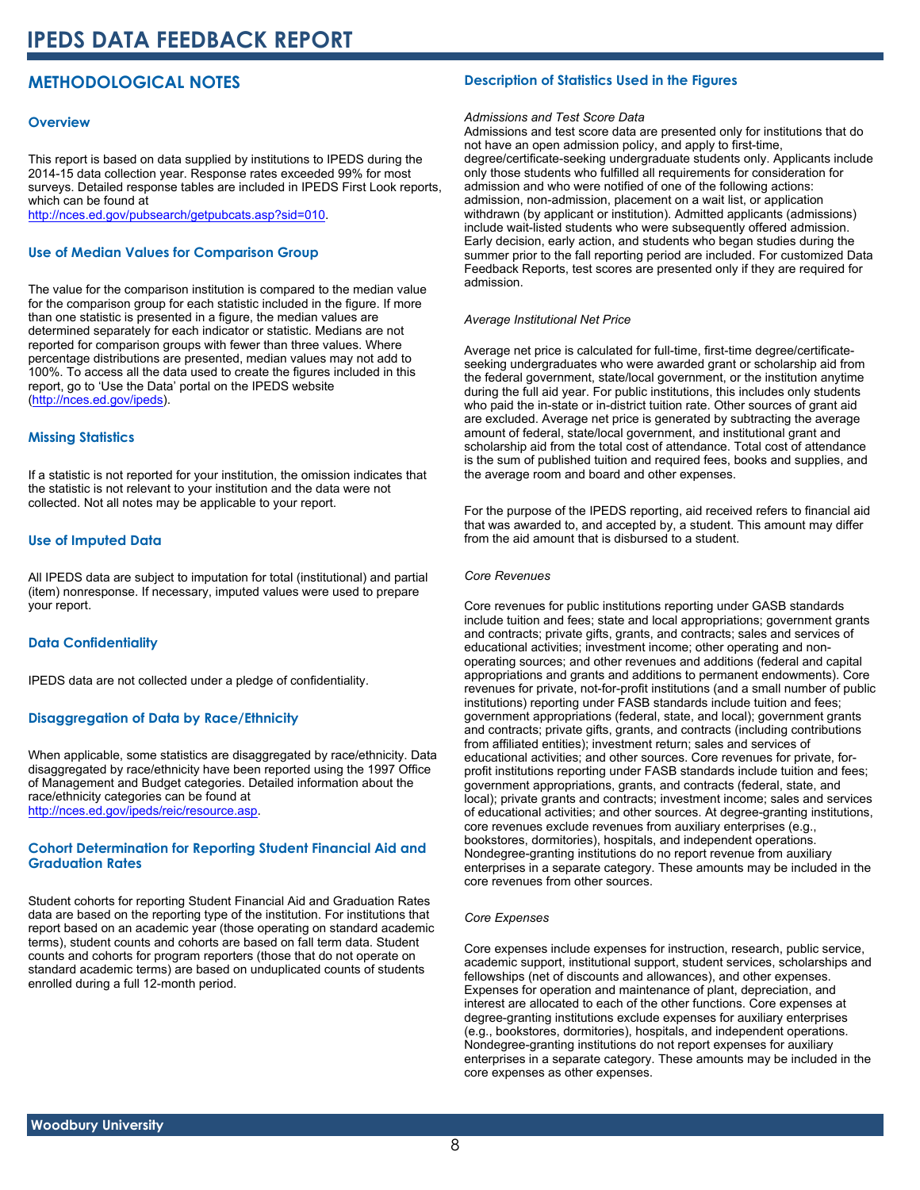## **METHODOLOGICAL NOTES**

#### **Overview**

This report is based on data supplied by institutions to IPEDS during the 2014-15 data collection year. Response rates exceeded 99% for most surveys. Detailed response tables are included in IPEDS First Look reports, which can be found at [http://nces.ed.gov/pubsearch/getpubcats.asp?sid=010.](http://nces.ed.gov/pubsearch/getpubcats.asp?sid=010)

#### **Use of Median Values for Comparison Group**

The value for the comparison institution is compared to the median value for the comparison group for each statistic included in the figure. If more than one statistic is presented in a figure, the median values are determined separately for each indicator or statistic. Medians are not reported for comparison groups with fewer than three values. Where percentage distributions are presented, median values may not add to 100%. To access all the data used to create the figures included in this report, go to 'Use the Data' portal on the IPEDS website ([http://nces.ed.gov/ipeds\)](http://nces.ed.gov/ipeds).

#### **Missing Statistics**

If a statistic is not reported for your institution, the omission indicates that the statistic is not relevant to your institution and the data were not collected. Not all notes may be applicable to your report.

#### **Use of Imputed Data**

All IPEDS data are subject to imputation for total (institutional) and partial (item) nonresponse. If necessary, imputed values were used to prepare your report.

#### **Data Confidentiality**

IPEDS data are not collected under a pledge of confidentiality.

#### **Disaggregation of Data by Race/Ethnicity**

When applicable, some statistics are disaggregated by race/ethnicity. Data disaggregated by race/ethnicity have been reported using the 1997 Office of Management and Budget categories. Detailed information about the race/ethnicity categories can be found at <http://nces.ed.gov/ipeds/reic/resource.asp>.

#### **Cohort Determination for Reporting Student Financial Aid and Graduation Rates**

Student cohorts for reporting Student Financial Aid and Graduation Rates data are based on the reporting type of the institution. For institutions that report based on an academic year (those operating on standard academic terms), student counts and cohorts are based on fall term data. Student counts and cohorts for program reporters (those that do not operate on standard academic terms) are based on unduplicated counts of students enrolled during a full 12-month period.

#### **Description of Statistics Used in the Figures**

#### *Admissions and Test Score Data*

Admissions and test score data are presented only for institutions that do not have an open admission policy, and apply to first-time, degree/certificate-seeking undergraduate students only. Applicants include only those students who fulfilled all requirements for consideration for admission and who were notified of one of the following actions: admission, non-admission, placement on a wait list, or application withdrawn (by applicant or institution). Admitted applicants (admissions) include wait-listed students who were subsequently offered admission. Early decision, early action, and students who began studies during the summer prior to the fall reporting period are included. For customized Data Feedback Reports, test scores are presented only if they are required for admission.

#### *Average Institutional Net Price*

Average net price is calculated for full-time, first-time degree/certificateseeking undergraduates who were awarded grant or scholarship aid from the federal government, state/local government, or the institution anytime during the full aid year. For public institutions, this includes only students who paid the in-state or in-district tuition rate. Other sources of grant aid are excluded. Average net price is generated by subtracting the average amount of federal, state/local government, and institutional grant and scholarship aid from the total cost of attendance. Total cost of attendance is the sum of published tuition and required fees, books and supplies, and the average room and board and other expenses.

For the purpose of the IPEDS reporting, aid received refers to financial aid that was awarded to, and accepted by, a student. This amount may differ from the aid amount that is disbursed to a student.

#### *Core Revenues*

Core revenues for public institutions reporting under GASB standards include tuition and fees; state and local appropriations; government grants and contracts; private gifts, grants, and contracts; sales and services of educational activities; investment income; other operating and nonoperating sources; and other revenues and additions (federal and capital appropriations and grants and additions to permanent endowments). Core revenues for private, not-for-profit institutions (and a small number of public institutions) reporting under FASB standards include tuition and fees; government appropriations (federal, state, and local); government grants and contracts; private gifts, grants, and contracts (including contributions from affiliated entities); investment return; sales and services of educational activities; and other sources. Core revenues for private, forprofit institutions reporting under FASB standards include tuition and fees; government appropriations, grants, and contracts (federal, state, and local); private grants and contracts; investment income; sales and services of educational activities; and other sources. At degree-granting institutions, core revenues exclude revenues from auxiliary enterprises (e.g., bookstores, dormitories), hospitals, and independent operations. Nondegree-granting institutions do no report revenue from auxiliary enterprises in a separate category. These amounts may be included in the core revenues from other sources.

#### *Core Expenses*

Core expenses include expenses for instruction, research, public service, academic support, institutional support, student services, scholarships and fellowships (net of discounts and allowances), and other expenses. Expenses for operation and maintenance of plant, depreciation, and interest are allocated to each of the other functions. Core expenses at degree-granting institutions exclude expenses for auxiliary enterprises (e.g., bookstores, dormitories), hospitals, and independent operations. Nondegree-granting institutions do not report expenses for auxiliary enterprises in a separate category. These amounts may be included in the core expenses as other expenses.